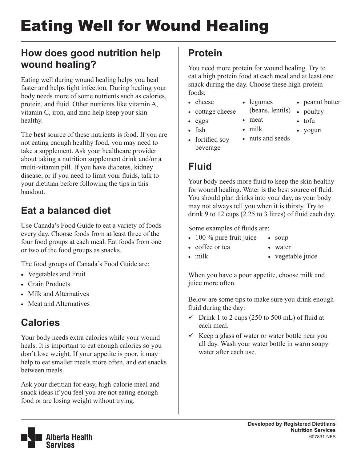# Eating Well for Wound Healing

## **How does good nutrition help wound healing?**

Eating well during wound healing helps you heal faster and helps fight infection. During healing your body needs more of some nutrients such as calories, protein, and fluid. Other nutrients like vitamin A, vitamin C, iron, and zinc help keep your skin healthy.

The **best** source of these nutrients is food. If you are not eating enough healthy food, you may need to take a supplement. Ask your healthcare provider about taking a nutrition supplement drink and/or a multi-vitamin pill. If you have diabetes, kidney disease, or if you need to limit your fluids, talk to your dietitian before following the tips in this handout.

# **Eat a balanced diet**

Use Canada's Food Guide to eat a variety of foods every day. Choose foods from at least three of the four food groups at each meal. Eat foods from one or two of the food groups as snacks.

The food groups of Canada's Food Guide are:

- Vegetables and Fruit
- Grain Products
- Milk and Alternatives
- Meat and Alternatives

# **Calories**

Your body needs extra calories while your wound heals. It is important to eat enough calories so you don't lose weight. If your appetite is poor, it may help to eat smaller meals more often, and eat snacks between meals.

Ask your dietitian for easy, high-calorie meal and snack ideas if you feel you are not eating enough food or are losing weight without trying.

## **Protein**

You need more protein for wound healing. Try to eat a high protein food at each meal and at least one snack during the day. Choose these high-protein foods:

• legumes

• meat

- cheese
- cottage cheese
- • eggs
- • fish
- milk
- nuts and seeds

(beans, lentils)

• peanut butter

• poultry • tofu • yogurt

• fortified soy beverage

## **Fluid**

Your body needs more fluid to keep the skin healthy for wound healing. Water is the best source of fluid. You should plan drinks into your day, as your body may not always tell you when it is thirsty. Try to drink 9 to 12 cups (2.25 to 3 litres) of fluid each day.

Some examples of fluids are:

- $\cdot$  100 % pure fruit juice • soup
	- • water

• milk

• coffee or tea

• vegetable juice

When you have a poor appetite, choose milk and juice more often.

Below are some tips to make sure you drink enough fluid during the day:

- $\checkmark$  Drink 1 to 2 cups (250 to 500 mL) of fluid at each meal.
- $\checkmark$  Keep a glass of water or water bottle near you all day. Wash your water bottle in warm soapy water after each use.